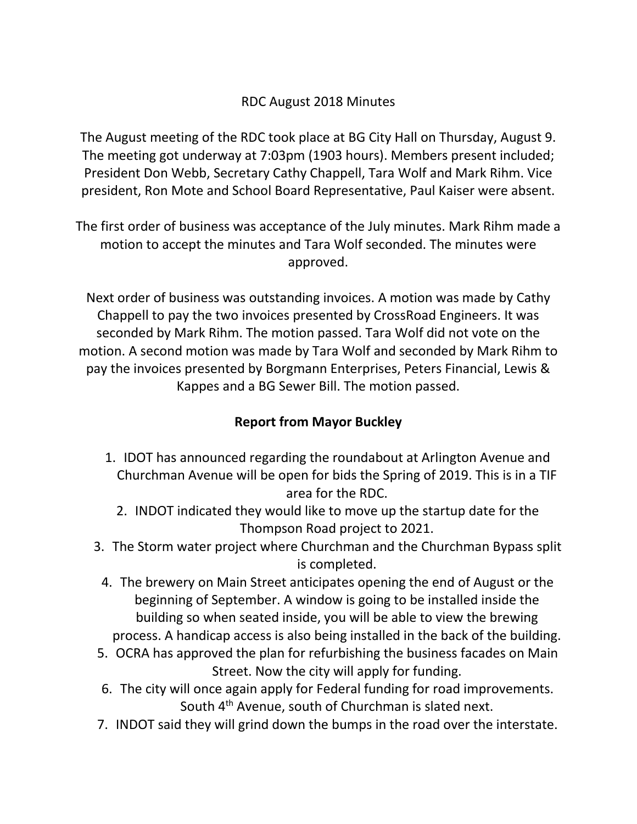## RDC August 2018 Minutes

The August meeting of the RDC took place at BG City Hall on Thursday, August 9. The meeting got underway at 7:03pm (1903 hours). Members present included; President Don Webb, Secretary Cathy Chappell, Tara Wolf and Mark Rihm. Vice president, Ron Mote and School Board Representative, Paul Kaiser were absent.

The first order of business was acceptance of the July minutes. Mark Rihm made a motion to accept the minutes and Tara Wolf seconded. The minutes were approved.

Next order of business was outstanding invoices. A motion was made by Cathy Chappell to pay the two invoices presented by CrossRoad Engineers. It was seconded by Mark Rihm. The motion passed. Tara Wolf did not vote on the motion. A second motion was made by Tara Wolf and seconded by Mark Rihm to pay the invoices presented by Borgmann Enterprises, Peters Financial, Lewis & Kappes and a BG Sewer Bill. The motion passed.

## **Report from Mayor Buckley**

- 1. IDOT has announced regarding the roundabout at Arlington Avenue and Churchman Avenue will be open for bids the Spring of 2019. This is in a TIF area for the RDC.
	- 2. INDOT indicated they would like to move up the startup date for the Thompson Road project to 2021.
- 3. The Storm water project where Churchman and the Churchman Bypass split is completed.
- 4. The brewery on Main Street anticipates opening the end of August or the beginning of September. A window is going to be installed inside the building so when seated inside, you will be able to view the brewing process. A handicap access is also being installed in the back of the building.
- 5. OCRA has approved the plan for refurbishing the business facades on Main Street. Now the city will apply for funding.
- 6. The city will once again apply for Federal funding for road improvements. South 4<sup>th</sup> Avenue, south of Churchman is slated next.
- 7. INDOT said they will grind down the bumps in the road over the interstate.